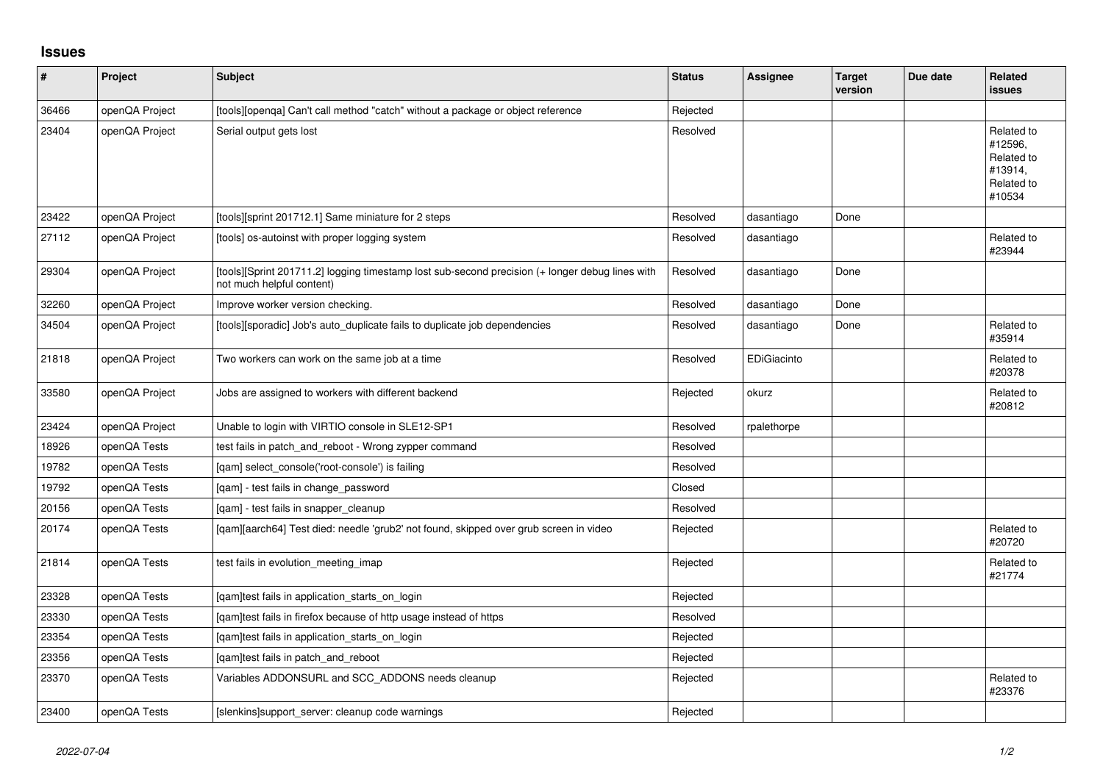## **Issues**

| $\pmb{\#}$ | Project        | Subject                                                                                                                      | <b>Status</b> | <b>Assignee</b> | <b>Target</b><br>version | Due date | Related<br><b>issues</b>                                               |
|------------|----------------|------------------------------------------------------------------------------------------------------------------------------|---------------|-----------------|--------------------------|----------|------------------------------------------------------------------------|
| 36466      | openQA Project | [tools][openqa] Can't call method "catch" without a package or object reference                                              | Rejected      |                 |                          |          |                                                                        |
| 23404      | openQA Project | Serial output gets lost                                                                                                      | Resolved      |                 |                          |          | Related to<br>#12596,<br>Related to<br>#13914,<br>Related to<br>#10534 |
| 23422      | openQA Project | [tools][sprint 201712.1] Same miniature for 2 steps                                                                          | Resolved      | dasantiago      | Done                     |          |                                                                        |
| 27112      | openQA Project | [tools] os-autoinst with proper logging system                                                                               | Resolved      | dasantiago      |                          |          | Related to<br>#23944                                                   |
| 29304      | openQA Project | [tools][Sprint 201711.2] logging timestamp lost sub-second precision (+ longer debug lines with<br>not much helpful content) | Resolved      | dasantiago      | Done                     |          |                                                                        |
| 32260      | openQA Project | Improve worker version checking.                                                                                             | Resolved      | dasantiago      | Done                     |          |                                                                        |
| 34504      | openQA Project | [tools][sporadic] Job's auto_duplicate fails to duplicate job dependencies                                                   | Resolved      | dasantiago      | Done                     |          | Related to<br>#35914                                                   |
| 21818      | openQA Project | Two workers can work on the same job at a time                                                                               | Resolved      | EDiGiacinto     |                          |          | Related to<br>#20378                                                   |
| 33580      | openQA Project | Jobs are assigned to workers with different backend                                                                          | Rejected      | okurz           |                          |          | Related to<br>#20812                                                   |
| 23424      | openQA Project | Unable to login with VIRTIO console in SLE12-SP1                                                                             | Resolved      | rpalethorpe     |                          |          |                                                                        |
| 18926      | openQA Tests   | test fails in patch and reboot - Wrong zypper command                                                                        | Resolved      |                 |                          |          |                                                                        |
| 19782      | openQA Tests   | [gam] select console('root-console') is failing                                                                              | Resolved      |                 |                          |          |                                                                        |
| 19792      | openQA Tests   | [qam] - test fails in change_password                                                                                        | Closed        |                 |                          |          |                                                                        |
| 20156      | openQA Tests   | [qam] - test fails in snapper_cleanup                                                                                        | Resolved      |                 |                          |          |                                                                        |
| 20174      | openQA Tests   | [qam][aarch64] Test died: needle 'grub2' not found, skipped over grub screen in video                                        | Rejected      |                 |                          |          | Related to<br>#20720                                                   |
| 21814      | openQA Tests   | test fails in evolution_meeting_imap                                                                                         | Rejected      |                 |                          |          | Related to<br>#21774                                                   |
| 23328      | openQA Tests   | [qam]test fails in application_starts_on_login                                                                               | Rejected      |                 |                          |          |                                                                        |
| 23330      | openQA Tests   | [gam]test fails in firefox because of http usage instead of https                                                            | Resolved      |                 |                          |          |                                                                        |
| 23354      | openQA Tests   | [gam]test fails in application starts on login                                                                               | Rejected      |                 |                          |          |                                                                        |
| 23356      | openQA Tests   | [gam]test fails in patch and reboot                                                                                          | Rejected      |                 |                          |          |                                                                        |
| 23370      | openQA Tests   | Variables ADDONSURL and SCC_ADDONS needs cleanup                                                                             | Rejected      |                 |                          |          | Related to<br>#23376                                                   |
| 23400      | openQA Tests   | [slenkins] support server: cleanup code warnings                                                                             | Rejected      |                 |                          |          |                                                                        |